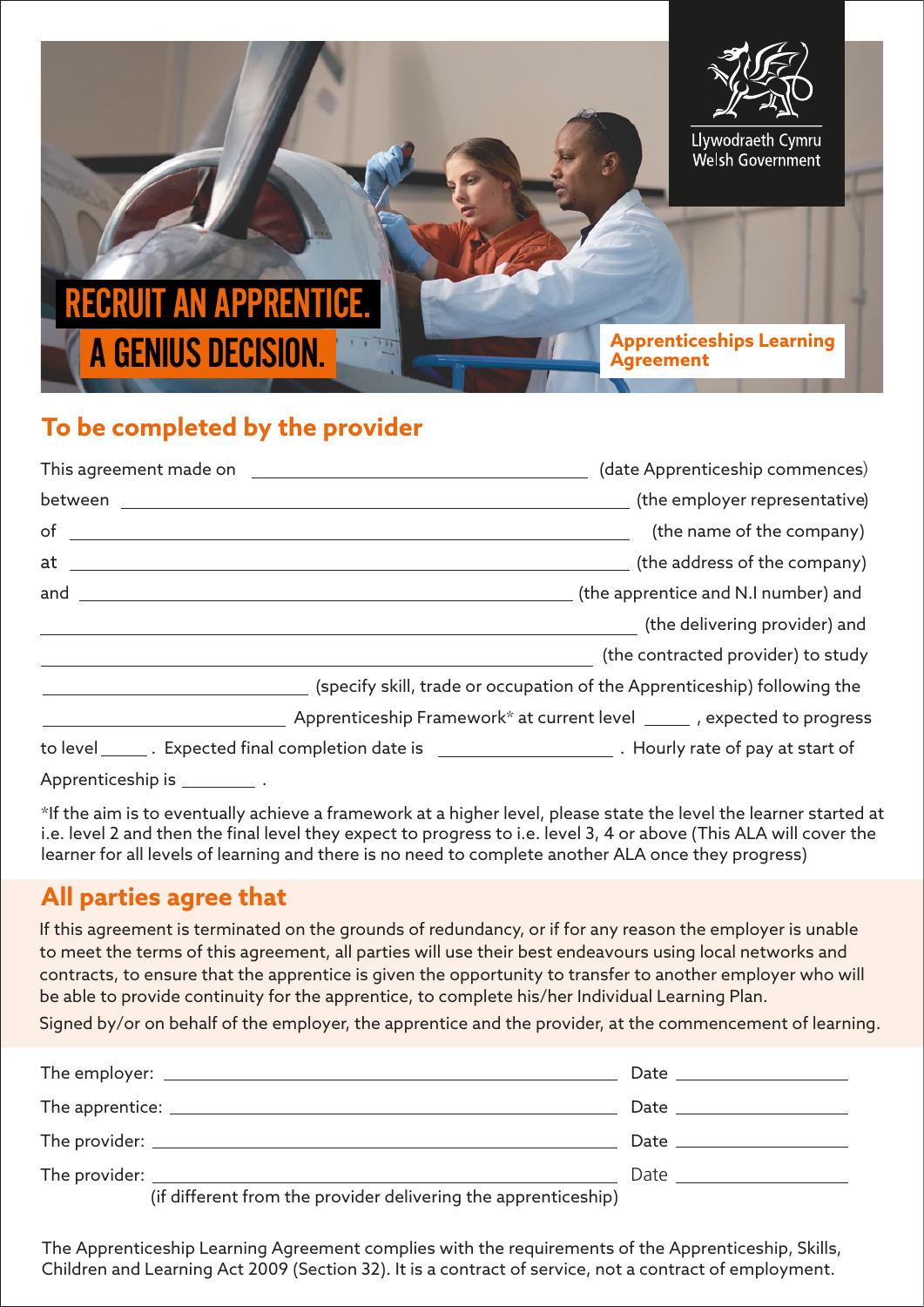

## **To be completed by the provider**

|                                  | (date Apprenticeship commences)                                                                               |
|----------------------------------|---------------------------------------------------------------------------------------------------------------|
|                                  | (the employer representative)                                                                                 |
| $of$ and $\sim$                  | (the name of the company)                                                                                     |
| $at$ at $\qquad \qquad$          | (the address of the company)                                                                                  |
| and $\qquad \qquad$              | (the apprentice and N.I number) and                                                                           |
|                                  | (the delivering provider) and                                                                                 |
|                                  | (the contracted provider) to study                                                                            |
|                                  | (specify skill, trade or occupation of the Apprenticeship) following the                                      |
|                                  | Apprenticeship Framework* at current level ______ , expected to progress                                      |
|                                  | to level _______. Expected final completion date is _________________________. Hourly rate of pay at start of |
| Apprenticeship is _____________. |                                                                                                               |

\*If the aim is to eventually achieve a framework at a higher level, please state the level the learner started at i.e. level 2 and then the final level they expect to progress to i.e. level 3, 4 or above (This ALA will cover the learner for all levels of learning and there is no need to complete another ALA once they progress)

#### **All parties agree that**

If this agreement is terminated on the grounds of redundancy, or if for any reason the employer is unable to meet the terms of this agreement, all parties will use their best endeavours using local networks and contracts, to ensure that the apprentice is given the opportunity to transfer to another employer who will be able to provide continuity for the apprentice, to complete his/her Individual Learning Plan.

Signed by/or on behalf of the employer, the apprentice and the provider, at the commencement of learning.

|                                                                | Date ___________________     |
|----------------------------------------------------------------|------------------------------|
|                                                                | Date _____________________   |
|                                                                | Date _______________________ |
| (if different from the provider delivering the apprenticeship) |                              |

The Apprenticeship Learning Agreement complies with the requirements of the Apprenticeship, Skills, Children and Learning Act 2009 (Section 32). It is a contract of service, not a contract of employment.